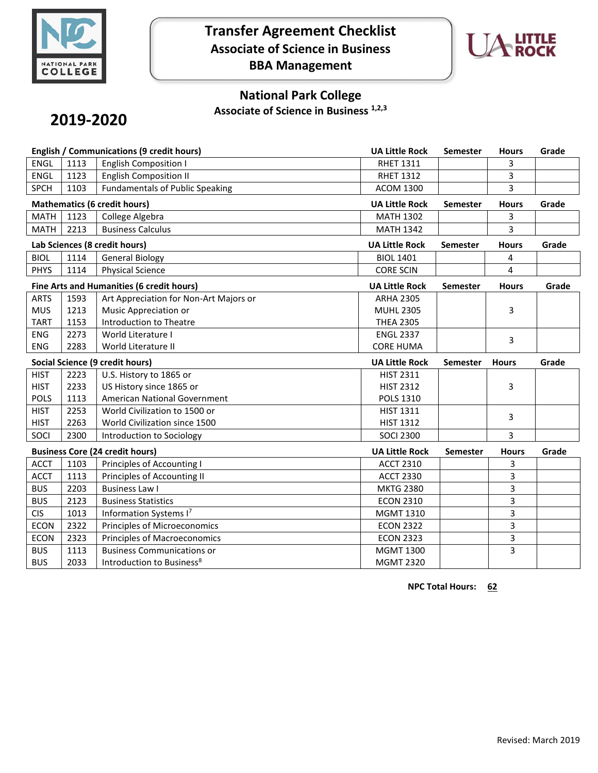

## **Transfer Agreement Checklist Associate of Science in Business BBA Management**



### **National Park College**

**Associate of Science in Business 1,2,3**

# **2019-2020**

| English / Communications (9 credit hours) |      |                                        | <b>UA Little Rock</b> | Semester        | <b>Hours</b> | Grade |
|-------------------------------------------|------|----------------------------------------|-----------------------|-----------------|--------------|-------|
| <b>ENGL</b>                               | 1113 | <b>English Composition I</b>           | <b>RHET 1311</b>      |                 | 3            |       |
| <b>ENGL</b>                               | 1123 | <b>English Composition II</b>          | <b>RHET 1312</b>      |                 | 3            |       |
| <b>SPCH</b>                               | 1103 | <b>Fundamentals of Public Speaking</b> | <b>ACOM 1300</b>      |                 | 3            |       |
| <b>Mathematics (6 credit hours)</b>       |      |                                        | <b>UA Little Rock</b> | Semester        | <b>Hours</b> | Grade |
| <b>MATH</b>                               | 1123 | College Algebra                        | <b>MATH 1302</b>      |                 | 3            |       |
| <b>MATH</b>                               | 2213 | <b>Business Calculus</b>               | <b>MATH 1342</b>      |                 | 3            |       |
| Lab Sciences (8 credit hours)             |      |                                        | <b>UA Little Rock</b> | <b>Semester</b> | <b>Hours</b> | Grade |
| <b>BIOL</b>                               | 1114 | <b>General Biology</b>                 | <b>BIOL 1401</b>      |                 | 4            |       |
| <b>PHYS</b>                               | 1114 | <b>Physical Science</b>                | <b>CORE SCIN</b>      |                 | 4            |       |
| Fine Arts and Humanities (6 credit hours) |      |                                        | <b>UA Little Rock</b> | <b>Semester</b> | <b>Hours</b> | Grade |
| <b>ARTS</b>                               | 1593 | Art Appreciation for Non-Art Majors or | <b>ARHA 2305</b>      |                 |              |       |
| <b>MUS</b>                                | 1213 | Music Appreciation or                  | <b>MUHL 2305</b>      |                 | 3            |       |
| <b>TART</b>                               | 1153 | Introduction to Theatre                | <b>THEA 2305</b>      |                 |              |       |
| <b>ENG</b>                                | 2273 | World Literature I                     | <b>ENGL 2337</b>      |                 | 3            |       |
| <b>ENG</b>                                | 2283 | World Literature II                    | <b>CORE HUMA</b>      |                 |              |       |
| <b>Social Science (9 credit hours)</b>    |      |                                        |                       |                 |              |       |
|                                           |      |                                        | <b>UA Little Rock</b> | <b>Semester</b> | <b>Hours</b> | Grade |
| <b>HIST</b>                               | 2223 | U.S. History to 1865 or                | <b>HIST 2311</b>      |                 |              |       |
| <b>HIST</b>                               | 2233 | US History since 1865 or               | <b>HIST 2312</b>      |                 | 3            |       |
| <b>POLS</b>                               | 1113 | American National Government           | <b>POLS 1310</b>      |                 |              |       |
| <b>HIST</b>                               | 2253 | World Civilization to 1500 or          | <b>HIST 1311</b>      |                 |              |       |
| <b>HIST</b>                               | 2263 | World Civilization since 1500          | <b>HIST 1312</b>      |                 | 3            |       |
| SOCI                                      | 2300 | Introduction to Sociology              | <b>SOCI 2300</b>      |                 | 3            |       |
|                                           |      | <b>Business Core (24 credit hours)</b> | <b>UA Little Rock</b> | <b>Semester</b> | <b>Hours</b> | Grade |
| <b>ACCT</b>                               | 1103 | Principles of Accounting I             | <b>ACCT 2310</b>      |                 | 3            |       |
| <b>ACCT</b>                               | 1113 | Principles of Accounting II            | <b>ACCT 2330</b>      |                 | 3            |       |
| <b>BUS</b>                                | 2203 | <b>Business Law I</b>                  | <b>MKTG 2380</b>      |                 | 3            |       |
| <b>BUS</b>                                | 2123 | <b>Business Statistics</b>             | <b>ECON 2310</b>      |                 | 3            |       |
| <b>CIS</b>                                | 1013 | Information Systems I7                 | <b>MGMT 1310</b>      |                 | 3            |       |
| <b>ECON</b>                               | 2322 | Principles of Microeconomics           | <b>ECON 2322</b>      |                 | 3            |       |
| <b>ECON</b>                               | 2323 | Principles of Macroeconomics           | <b>ECON 2323</b>      |                 | 3            |       |
| <b>BUS</b>                                | 1113 | <b>Business Communications or</b>      | <b>MGMT 1300</b>      |                 | 3            |       |

**NPC Total Hours: 62**